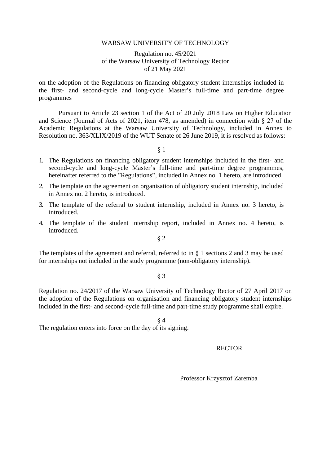#### WARSAW UNIVERSITY OF TECHNOLOGY

Regulation no. 45/2021 of the Warsaw University of Technology Rector of 21 May 2021

on the adoption of the Regulations on financing obligatory student internships included in the first- and second-cycle and long-cycle Master's full-time and part-time degree programmes

Pursuant to Article 23 section 1 of the Act of 20 July 2018 Law on Higher Education and Science (Journal of Acts of 2021, item 478, as amended) in connection with  $\S$  27 of the Academic Regulations at the Warsaw University of Technology, included in Annex to Resolution no. 363/XLIX/2019 of the WUT Senate of 26 June 2019, it is resolved as follows:

§ 1

- 1. The Regulations on financing obligatory student internships included in the first- and second-cycle and long-cycle Master's full-time and part-time degree programmes, hereinafter referred to the "Regulations", included in Annex no. 1 hereto, are introduced.
- 2. The template on the agreement on organisation of obligatory student internship, included in Annex no. 2 hereto, is introduced.
- 3. The template of the referral to student internship, included in Annex no. 3 hereto, is introduced.
- 4. The template of the student internship report, included in Annex no. 4 hereto, is introduced.

§ 2

The templates of the agreement and referral, referred to in  $\S$  1 sections 2 and 3 may be used for internships not included in the study programme (non-obligatory internship).

§ 3

Regulation no. 24/2017 of the Warsaw University of Technology Rector of 27 April 2017 on the adoption of the Regulations on organisation and financing obligatory student internships included in the first- and second-cycle full-time and part-time study programme shall expire.

§ 4 The regulation enters into force on the day of its signing.

### RECTOR

Professor Krzysztof Zaremba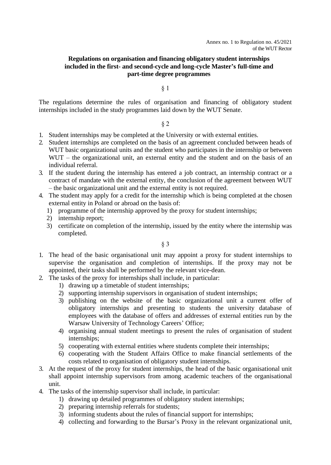# **Regulations on organisation and financing obligatory student internships included in the first- and second-cycle and long-cycle Master's full-time and part-time degree programmes**

## § 1

The regulations determine the rules of organisation and financing of obligatory student internships included in the study programmes laid down by the WUT Senate.

# § 2

- 1. Student internships may be completed at the University or with external entities.
- 2. Student internships are completed on the basis of an agreement concluded between heads of WUT basic organizational units and the student who participates in the internship or between WUT – the organizational unit, an external entity and the student and on the basis of an individual referral.
- 3. If the student during the internship has entered a job contract, an internship contract or a contract of mandate with the external entity, the conclusion of the agreement between WUT – the basic organizational unit and the external entity is not required.
- 4. The student may apply for a credit for the internship which is being completed at the chosen external entity in Poland or abroad on the basis of:
	- 1) programme of the internship approved by the proxy for student internships;
	- 2) internship report;
	- 3) certificate on completion of the internship, issued by the entity where the internship was completed.

## § 3

- 1. The head of the basic organisational unit may appoint a proxy for student internships to supervise the organisation and completion of internships. If the proxy may not be appointed, their tasks shall be performed by the relevant vice-dean.
- 2. The tasks of the proxy for internships shall include, in particular:
	- 1) drawing up a timetable of student internships;
	- 2) supporting internship supervisors in organisation of student internships;
	- 3) publishing on the website of the basic organizational unit a current offer of obligatory internships and presenting to students the university database of employees with the database of offers and addresses of external entities run by the Warsaw University of Technology Careers' Office;
	- 4) organising annual student meetings to present the rules of organisation of student internships;
	- 5) cooperating with external entities where students complete their internships;
	- 6) cooperating with the Student Affairs Office to make financial settlements of the costs related to organisation of obligatory student internships.
- 3. At the request of the proxy for student internships, the head of the basic organisational unit shall appoint internship supervisors from among academic teachers of the organisational unit.
- 4. The tasks of the internship supervisor shall include, in particular:
	- 1) drawing up detailed programmes of obligatory student internships;
	- 2) preparing internship referrals for students;
	- 3) informing students about the rules of financial support for internships;
	- 4) collecting and forwarding to the Bursar's Proxy in the relevant organizational unit,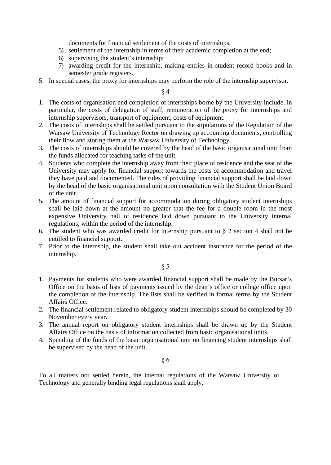documents for financial settlement of the costs of internships;

- 5) settlement of the internship in terms of their academic completion at the end;
- 6) supervising the student's internship;
- 7) awarding credit for the internship, making entries in student record books and in semester grade registers.
- 5. In special cases, the proxy for internships may perform the role of the internship supervisor.

# § 4

- 1. The costs of organisation and completion of internships borne by the University include, in particular, the costs of delegation of staff, remuneration of the proxy for internships and internship supervisors, transport of equipment, costs of equipment.
- 2. The costs of internships shall be settled pursuant to the stipulations of the Regulation of the Warsaw University of Technology Rector on drawing up accounting documents, controlling their flow and storing them at the Warsaw University of Technology.
- 3. The costs of internships should be covered by the head of the basic organisational unit from the funds allocated for teaching tasks of the unit.
- 4. Students who complete the internship away from their place of residence and the seat of the University may apply for financial support towards the costs of accommodation and travel they have paid and documented. The rules of providing financial support shall be laid down by the head of the basic organisational unit upon consultation with the Student Union Board of the unit.
- 5. The amount of financial support for accommodation during obligatory student internships shall be laid down at the amount no greater that the fee for a double room in the most expensive University hall of residence laid down pursuant to the University internal regulations, within the period of the internship.
- 6. The student who was awarded credit for internship pursuant to  $\S$  2 section 4 shall not be entitled to financial support.
- 7. Prior to the internship, the student shall take out accident insurance for the period of the internship.

§ 5

- 1. Payments for students who were awarded financial support shall be made by the Bursar's Office on the basis of lists of payments issued by the dean's office or college office upon the completion of the internship. The lists shall be verified in formal terms by the Student Affairs Office.
- 2. The financial settlement related to obligatory student internships should be completed by 30 November every year.
- 3. The annual report on obligatory student internships shall be drawn up by the Student Affairs Office on the basis of information collected from basic organisational units.
- 4. Spending of the funds of the basic organisational unit on financing student internships shall be supervised by the head of the unit.

### § 6

To all matters not settled herein, the internal regulations of the Warsaw University of Technology and generally binding legal regulations shall apply.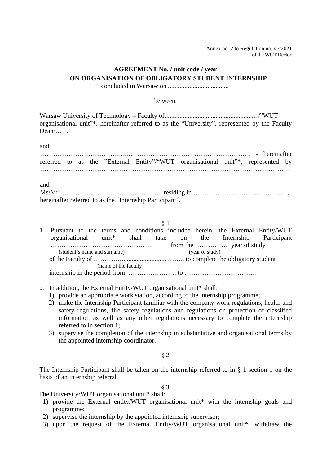Annex no. 2 to Regulation no. 45/2021 of the WUT Rector

# **AGREEMENT No. / unit code / year ON ORGANISATION OF OBLIGATORY STUDENT INTERNSHIP**

concluded in Warsaw on .....................................

#### between:

Warsaw University of Technology – Faculty of........................................................ /"WUT organisational unit"\*, hereinafter referred to as the "University", represented by the Faculty Dean/……

and

|  |  |  |  |  | referred to as the "External Entity"/"WUT organisational unit"*, represented by |  |  |  |  |
|--|--|--|--|--|---------------------------------------------------------------------------------|--|--|--|--|
|  |  |  |  |  |                                                                                 |  |  |  |  |

and

| hereinafter referred to as the "Internship Participant". |  |
|----------------------------------------------------------|--|

### § 1

| 1. Pursuant to the terms and conditions included herein, the External Entity/WUT |  |                       |  |                 |  |  |
|----------------------------------------------------------------------------------|--|-----------------------|--|-----------------|--|--|
| organisational unit <sup>*</sup> shall take on the Internship Participant        |  |                       |  |                 |  |  |
|                                                                                  |  |                       |  |                 |  |  |
| (student's name and surname)                                                     |  |                       |  | (year of study) |  |  |
|                                                                                  |  |                       |  |                 |  |  |
|                                                                                  |  | (name of the faculty) |  |                 |  |  |
|                                                                                  |  |                       |  |                 |  |  |

- 2. In addition, the External Entity/WUT organisational unit\* shall:
	- 1) provide an appropriate work station, according to the internship programme;
	- 2) make the Internship Participant familiar with the company work regulations, health and safety regulations, fire safety regulations and regulations on protection of classified information as well as any other regulations necessary to complete the internship referred to in section 1;
	- 3) supervise the completion of the internship in substantative and organisational terms by the appointed internship coordinator.

§ 2

The Internship Participant shall be taken on the internship referred to in  $\S$  1 section 1 on the basis of an internship referral.

§ 3 The University/WUT organisational unit\* shall:

- 1) provide the External entity/WUT organisational unit\* with the internship goals and programme;
- 2) supervise the internship by the appointed internship supervisor;
- 3) upon the request of the External Entity/WUT organisational unit\*, withdraw the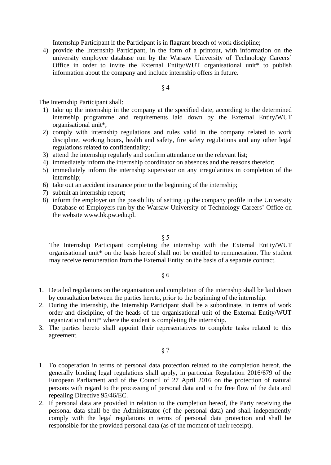Internship Participant if the Participant is in flagrant breach of work discipline;

4) provide the Internship Participant, in the form of a printout, with information on the university employee database run by the Warsaw University of Technology Careers' Office in order to invite the External Entity/WUT organisational unit\* to publish information about the company and include internship offers in future.

## § 4

The Internship Participant shall:

- 1) take up the internship in the company at the specified date, according to the determined internship programme and requirements laid down by the External Entity/WUT organisational unit\*;
- 2) comply with internship regulations and rules valid in the company related to work discipline, working hours, health and safety, fire safety regulations and any other legal regulations related to confidentiality;
- 3) attend the internship regularly and confirm attendance on the relevant list;
- 4) immediately inform the internship coordinator on absences and the reasons therefor;
- 5) immediately inform the internship supervisor on any irregularities in completion of the internship;
- 6) take out an accident insurance prior to the beginning of the internship;
- 7) submit an internship report;
- 8) inform the employer on the possibility of setting up the company profile in the University Database of Employers run by the Warsaw University of Technology Careers' Office on the website [www.bk.pw.edu.pl.](http://www.bk.pw.edu.pl/)

# § 5

The Internship Participant completing the internship with the External Entity/WUT organisational unit\* on the basis hereof shall not be entitled to remuneration. The student may receive remuneration from the External Entity on the basis of a separate contract.

# § 6

- 1. Detailed regulations on the organisation and completion of the internship shall be laid down by consultation between the parties hereto, prior to the beginning of the internship.
- 2. During the internship, the Internship Participant shall be a subordinate, in terms of work order and discipline, of the heads of the organisational unit of the External Entity/WUT organizational unit\* where the student is completing the internship.
- 3. The parties hereto shall appoint their representatives to complete tasks related to this agreement.

§ 7

- 1. To cooperation in terms of personal data protection related to the completion hereof, the generally binding legal regulations shall apply, in particular Regulation 2016/679 of the European Parliament and of the Council of 27 April 2016 on the protection of natural persons with regard to the processing of personal data and to the free flow of the data and repealing Directive 95/46/EC.
- 2. If personal data are provided in relation to the completion hereof, the Party receiving the personal data shall be the Administrator (of the personal data) and shall independently comply with the legal regulations in terms of personal data protection and shall be responsible for the provided personal data (as of the moment of their receipt).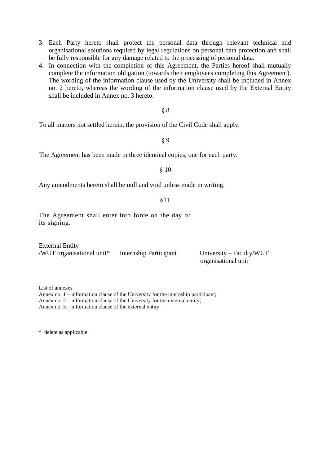3. Each Party hereto shall protect the personal data through relevant technical and organisational solutions required by legal regulations on personal data protection and shall be fully responsible for any damage related to the processing of personal data.

4. In connection with the completion of this Agreement, the Parties hereof shall mutually complete the information obligation (towards their employees completing this Agreement). The wording of the information clause used by the University shall be included in Annex no. 2 hereto, whereas the wording of the information clause used by the External Entity shall be included in Annex no. 3 hereto.

# § 8

To all matters not settled herein, the provision of the Civil Code shall apply.

§ 9

The Agreement has been made in three identical copies, one for each party.

### § 10

Any amendments hereto shall be null and void unless made in writing.

#### §11

The Agreement shall enter into force on the day of its signing.

External Entity /WUT organisational unit\* Internship Participant University – Faculty/WUT

organisational unit

List of annexes

Annex no. 1 – information clause of the University for the internship participant;

Annex no. 2 – information clause of the University for the external entity;

Annex no. 3 – information clause of the external entity.

\* delete as applicable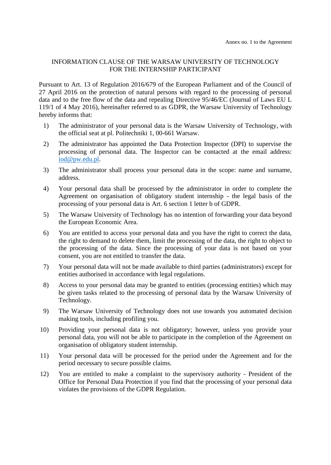# INFORMATION CLAUSE OF THE WARSAW UNIVERSITY OF TECHNOLOGY FOR THE INTERNSHIP PARTICIPANT

Pursuant to Art. 13 of Regulation 2016/679 of the European Parliament and of the Council of 27 April 2016 on the protection of natural persons with regard to the processing of personal data and to the free flow of the data and repealing Directive 95/46/EC (Journal of Laws EU L 119/1 of 4 May 2016), hereinafter referred to as GDPR, the Warsaw University of Technology hereby informs that:

- 1) The administrator of your personal data is the Warsaw University of Technology, with the official seat at pl. Politechniki 1, 00-661 Warsaw.
- 2) The administrator has appointed the Data Protection Inspector (DPI) to supervise the processing of personal data. The Inspector can be contacted at the email address: [iod@pw.edu.pl.](mailto:iod@pw.edu.pl)
- 3) The administrator shall process your personal data in the scope: name and surname, address.
- 4) Your personal data shall be processed by the administrator in order to complete the Agreement on organisation of obligatory student internship - the legal basis of the processing of your personal data is Art. 6 section 1 letter b of GDPR.
- 5) The Warsaw University of Technology has no intention of forwarding your data beyond the European Economic Area.
- 6) You are entitled to access your personal data and you have the right to correct the data, the right to demand to delete them, limit the processing of the data, the right to object to the processing of the data. Since the processing of your data is not based on your consent, you are not entitled to transfer the data.
- 7) Your personal data will not be made available to third parties (administrators) except for entities authorised in accordance with legal regulations.
- 8) Access to your personal data may be granted to entities (processing entities) which may be given tasks related to the processing of personal data by the Warsaw University of Technology.
- 9) The Warsaw University of Technology does not use towards you automated decision making tools, including profiling you.
- 10) Providing your personal data is not obligatory; however, unless you provide your personal data, you will not be able to participate in the completion of the Agreement on organisation of obligatory student internship.
- 11) Your personal data will be processed for the period under the Agreement and for the period necessary to secure possible claims.
- 12) You are entitled to make a complaint to the supervisory authority President of the Office for Personal Data Protection if you find that the processing of your personal data violates the provisions of the GDPR Regulation.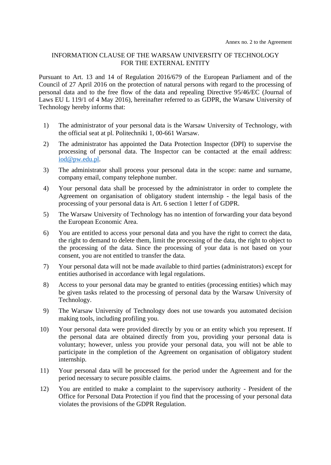# INFORMATION CLAUSE OF THE WARSAW UNIVERSITY OF TECHNOLOGY FOR THE EXTERNAL ENTITY

Pursuant to Art. 13 and 14 of Regulation 2016/679 of the European Parliament and of the Council of 27 April 2016 on the protection of natural persons with regard to the processing of personal data and to the free flow of the data and repealing Directive 95/46/EC (Journal of Laws EU L 119/1 of 4 May 2016), hereinafter referred to as GDPR, the Warsaw University of Technology hereby informs that:

- 1) The administrator of your personal data is the Warsaw University of Technology, with the official seat at pl. Politechniki 1, 00-661 Warsaw.
- 2) The administrator has appointed the Data Protection Inspector (DPI) to supervise the processing of personal data. The Inspector can be contacted at the email address: [iod@pw.edu.pl.](mailto:iod@pw.edu.pl)
- 3) The administrator shall process your personal data in the scope: name and surname, company email, company telephone number.
- 4) Your personal data shall be processed by the administrator in order to complete the Agreement on organisation of obligatory student internship - the legal basis of the processing of your personal data is Art. 6 section 1 letter f of GDPR.
- 5) The Warsaw University of Technology has no intention of forwarding your data beyond the European Economic Area.
- 6) You are entitled to access your personal data and you have the right to correct the data, the right to demand to delete them, limit the processing of the data, the right to object to the processing of the data. Since the processing of your data is not based on your consent, you are not entitled to transfer the data.
- 7) Your personal data will not be made available to third parties (administrators) except for entities authorised in accordance with legal regulations.
- 8) Access to your personal data may be granted to entities (processing entities) which may be given tasks related to the processing of personal data by the Warsaw University of Technology.
- 9) The Warsaw University of Technology does not use towards you automated decision making tools, including profiling you.
- 10) Your personal data were provided directly by you or an entity which you represent. If the personal data are obtained directly from you, providing your personal data is voluntary; however, unless you provide your personal data, you will not be able to participate in the completion of the Agreement on organisation of obligatory student internship.
- 11) Your personal data will be processed for the period under the Agreement and for the period necessary to secure possible claims.
- 12) You are entitled to make a complaint to the supervisory authority President of the Office for Personal Data Protection if you find that the processing of your personal data violates the provisions of the GDPR Regulation.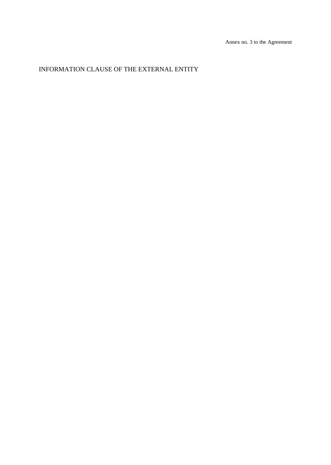# INFORMATION CLAUSE OF THE EXTERNAL ENTITY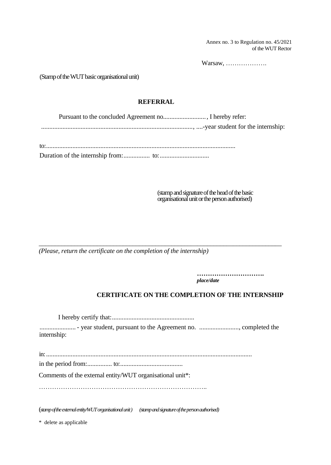Annex no. 3 to Regulation no. 45/2021 of the WUT Rector

Warsaw, ……………….

(Stamp of the WUT basic organisationalunit)

# **REFERRAL**

Pursuant to the concluded Agreement no.........................., I hereby refer: ............................................................................................, ....-year student for the internship: to:...................................................................................................................

*\_\_\_\_\_\_\_\_\_\_\_\_\_\_\_\_\_\_\_\_\_\_\_\_\_\_\_\_\_\_\_\_\_\_\_\_\_\_\_\_\_\_\_\_\_\_\_\_\_\_\_\_\_\_\_\_\_\_\_\_\_\_\_\_\_\_\_\_\_\_\_\_\_\_\_*

Duration of the internship from:................ to:..............................

(stamp and signature of the head of the basic organisational unit or the person authorised)

*(Please, return the certificate on the completion of the internship)*

**………………………….** *place/date*

# **CERTIFICATE ON THE COMPLETION OF THE INTERNSHIP**

I hereby certify that:.................................................. ...................... - year student, pursuant to the Agreement no. ........................, completed the internship: in:............................................................................................................................. in the period from:............... to:...................................... Comments of the external entity/WUT organisational unit\*: ………………………………………………………………….. (*stamp of the external entity/WUT organisational unit) (stamp and signature of the person authorised)*

\* delete as applicable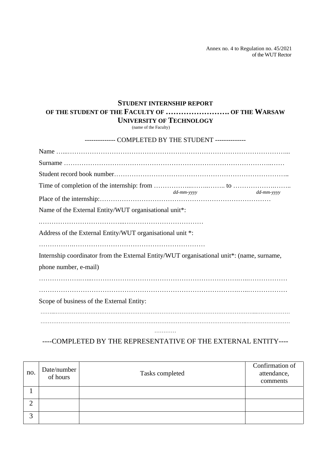Annex no. 4 to Regulation no. 45/2021 of the WUT Rector

# **STUDENT INTERNSHIP REPORT OF THE STUDENT OF THE FACULTY OF ……………………. OF THE WARSAW UNIVERSITY OF TECHNOLOGY**

(name of the Faculty)

| -------------- COMPLETED BY THE STUDENT --------------                                                 |            |            |
|--------------------------------------------------------------------------------------------------------|------------|------------|
|                                                                                                        |            |            |
|                                                                                                        |            |            |
|                                                                                                        |            |            |
|                                                                                                        | dd-mm-yyyy | dd-mm-yyyy |
|                                                                                                        |            |            |
| Name of the External Entity/WUT organisational unit*:                                                  |            |            |
|                                                                                                        |            |            |
| Address of the External Entity/WUT organisational unit *:                                              |            |            |
|                                                                                                        |            |            |
| Internship coordinator from the External Entity/WUT organisational unit <sup>*</sup> : (name, surname, |            |            |
| phone number, e-mail)                                                                                  |            |            |
|                                                                                                        |            |            |
|                                                                                                        |            |            |
| Scope of business of the External Entity:                                                              |            |            |
|                                                                                                        |            |            |
|                                                                                                        |            |            |
|                                                                                                        |            |            |

# ----COMPLETED BY THE REPRESENTATIVE OF THE EXTERNAL ENTITY----

| no.        | Date/number<br>of hours | Tasks completed | Confirmation of<br>attendance,<br>comments |
|------------|-------------------------|-----------------|--------------------------------------------|
|            |                         |                 |                                            |
| $\bigcap$  |                         |                 |                                            |
| $\sqrt{2}$ |                         |                 |                                            |